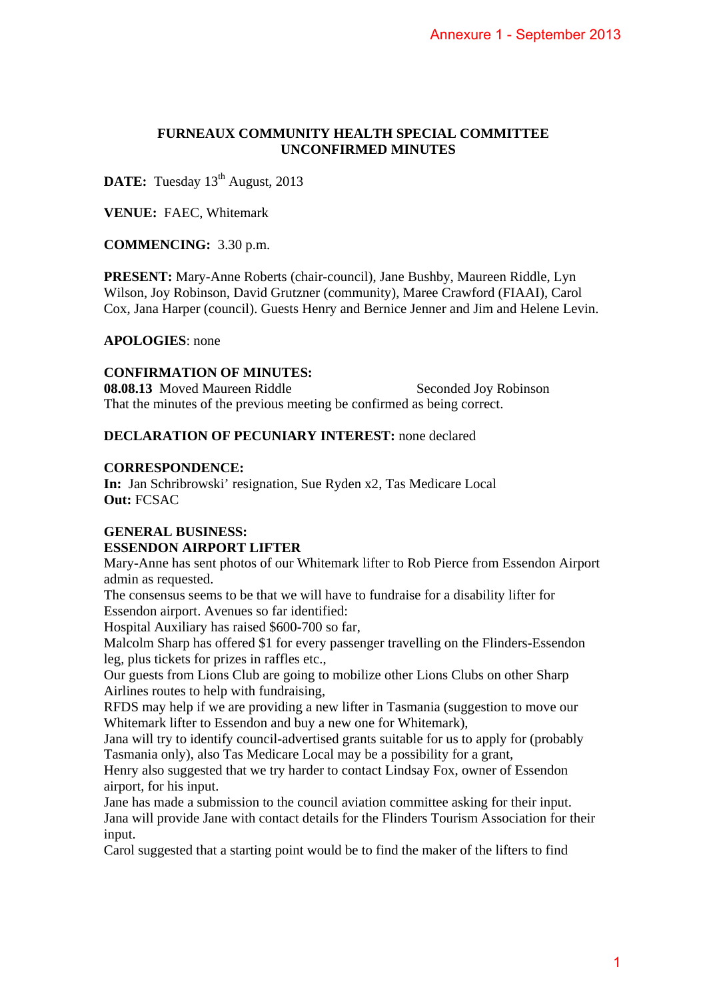## **FURNEAUX COMMUNITY HEALTH SPECIAL COMMITTEE UNCONFIRMED MINUTES**

**DATE:** Tuesday 13<sup>th</sup> August, 2013

**VENUE:** FAEC, Whitemark

**COMMENCING:** 3.30 p.m.

**PRESENT:** Mary-Anne Roberts (chair-council), Jane Bushby, Maureen Riddle, Lyn Wilson, Joy Robinson, David Grutzner (community), Maree Crawford (FIAAI), Carol Cox, Jana Harper (council). Guests Henry and Bernice Jenner and Jim and Helene Levin. Annexure 1 - September 2013<br>
1AL COMMITTEE<br>
TES<br>
ENDERTERENTES<br>
TES<br>
Abby, Maureen Riddle, Lyn<br>
ec Crawford (FIAAI), Carol<br>
ner and Jim and Helene Levin.<br>
conded Joy Robinson<br>
conded Joy Robinson<br>
declared<br>
dicare Local<br>
P

**APOLOGIES**: none

## **CONFIRMATION OF MINUTES:**

**08.08.13** Moved Maureen Riddle Seconded Joy Robinson That the minutes of the previous meeting be confirmed as being correct.

## **DECLARATION OF PECUNIARY INTEREST:** none declared

### **CORRESPONDENCE:**

**In:** Jan Schribrowski' resignation, Sue Ryden x2, Tas Medicare Local **Out:** FCSAC

# **GENERAL BUSINESS: ESSENDON AIRPORT LIFTER**

Mary-Anne has sent photos of our Whitemark lifter to Rob Pierce from Essendon Airport admin as requested.

The consensus seems to be that we will have to fundraise for a disability lifter for Essendon airport. Avenues so far identified:

Hospital Auxiliary has raised \$600-700 so far,

Malcolm Sharp has offered \$1 for every passenger travelling on the Flinders-Essendon leg, plus tickets for prizes in raffles etc.,

Our guests from Lions Club are going to mobilize other Lions Clubs on other Sharp Airlines routes to help with fundraising,

RFDS may help if we are providing a new lifter in Tasmania (suggestion to move our Whitemark lifter to Essendon and buy a new one for Whitemark),

Jana will try to identify council-advertised grants suitable for us to apply for (probably Tasmania only), also Tas Medicare Local may be a possibility for a grant,

Henry also suggested that we try harder to contact Lindsay Fox, owner of Essendon airport, for his input.

Jane has made a submission to the council aviation committee asking for their input. Jana will provide Jane with contact details for the Flinders Tourism Association for their input.

Carol suggested that a starting point would be to find the maker of the lifters to find